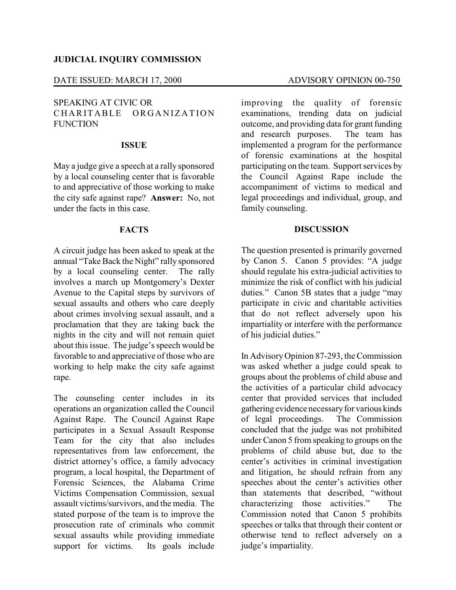### DATE ISSUED: MARCH 17, 2000 ADVISORY OPINION 00-750

## SPEAKING AT CIVIC OR CHARITABLE ORGANIZATION **FUNCTION**

#### **ISSUE**

May a judge give a speech at a rally sponsored by a local counseling center that is favorable to and appreciative of those working to make the city safe against rape? **Answer:** No, not under the facts in this case.

## **FACTS**

A circuit judge has been asked to speak at the annual "Take Back the Night" rally sponsored by a local counseling center. The rally involves a march up Montgomery's Dexter Avenue to the Capital steps by survivors of sexual assaults and others who care deeply about crimes involving sexual assault, and a proclamation that they are taking back the nights in the city and will not remain quiet about this issue. The judge's speech would be favorable to and appreciative of those who are working to help make the city safe against rape.

The counseling center includes in its operations an organization called the Council Against Rape. The Council Against Rape participates in a Sexual Assault Response Team for the city that also includes representatives from law enforcement, the district attorney's office, a family advocacy program, a local hospital, the Department of Forensic Sciences, the Alabama Crime Victims Compensation Commission, sexual assault victims/survivors, and the media. The stated purpose of the team is to improve the prosecution rate of criminals who commit sexual assaults while providing immediate support for victims. Its goals include

improving the quality of forensic examinations, trending data on judicial outcome, and providing data for grant funding<br>and research purposes. The team has and research purposes. implemented a program for the performance of forensic examinations at the hospital participating on the team. Support services by the Council Against Rape include the accompaniment of victims to medical and legal proceedings and individual, group, and family counseling.

### **DISCUSSION**

The question presented is primarily governed by Canon 5. Canon 5 provides: "A judge should regulate his extra-judicial activities to minimize the risk of conflict with his judicial duties." Canon 5B states that a judge "may" participate in civic and charitable activities that do not reflect adversely upon his impartiality or interfere with the performance of his judicial duties."

In AdvisoryOpinion 87-293, the Commission was asked whether a judge could speak to groups about the problems of child abuse and the activities of a particular child advocacy center that provided services that included gathering evidence necessaryfor various kinds of legal proceedings. The Commission concluded that the judge was not prohibited under Canon 5 from speaking to groups on the problems of child abuse but, due to the center's activities in criminal investigation and litigation, he should refrain from any speeches about the center's activities other than statements that described, "without characterizing those activities." The Commission noted that Canon 5 prohibits speeches or talks that through their content or otherwise tend to reflect adversely on a judge's impartiality.